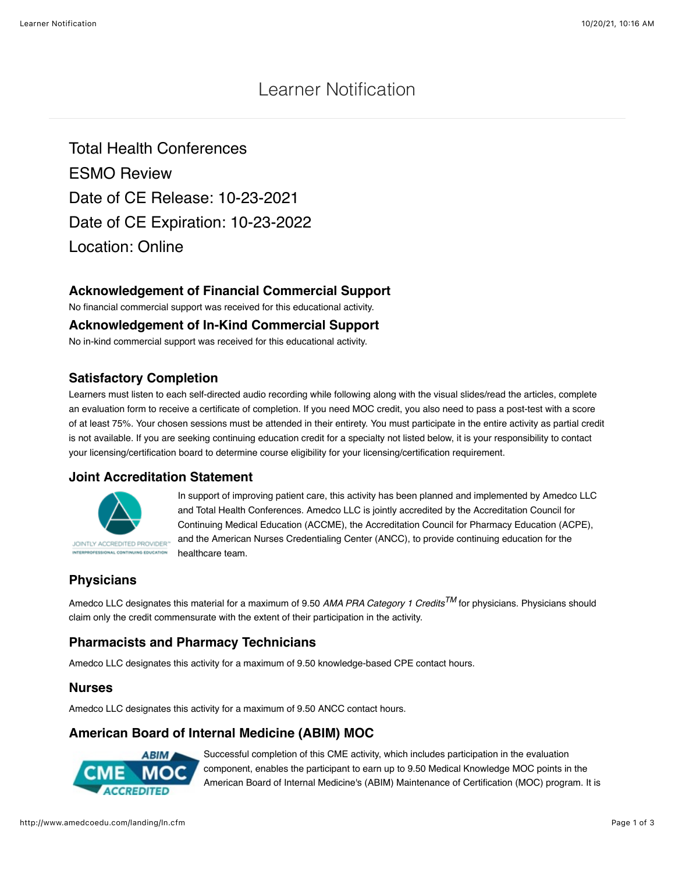# Learner Notification

Total Health Conferences ESMO Review Date of CE Release: 10-23-2021 Date of CE Expiration: 10-23-2022 Location: Online

#### **Acknowledgement of Financial Commercial Support**

No financial commercial support was received for this educational activity.

#### **Acknowledgement of In-Kind Commercial Support**

No in-kind commercial support was received for this educational activity.

#### **Satisfactory Completion**

Learners must listen to each self-directed audio recording while following along with the visual slides/read the articles, complete an evaluation form to receive a certificate of completion. If you need MOC credit, you also need to pass a post-test with a score of at least 75%. Your chosen sessions must be attended in their entirety. You must participate in the entire activity as partial credit is not available. If you are seeking continuing education credit for a specialty not listed below, it is your responsibility to contact your licensing/certification board to determine course eligibility for your licensing/certification requirement.

#### **Joint Accreditation Statement**



In support of improving patient care, this activity has been planned and implemented by Amedco LLC and Total Health Conferences. Amedco LLC is jointly accredited by the Accreditation Council for Continuing Medical Education (ACCME), the Accreditation Council for Pharmacy Education (ACPE), and the American Nurses Credentialing Center (ANCC), to provide continuing education for the healthcare team.

#### **Physicians**

Amedco LLC designates this material for a maximum of 9.50 *AMA PRA Category 1 CreditsTM* for physicians. Physicians should claim only the credit commensurate with the extent of their participation in the activity.

## **Pharmacists and Pharmacy Technicians**

Amedco LLC designates this activity for a maximum of 9.50 knowledge-based CPE contact hours.

#### **Nurses**

Amedco LLC designates this activity for a maximum of 9.50 ANCC contact hours.

## **American Board of Internal Medicine (ABIM) MOC**



Successful completion of this CME activity, which includes participation in the evaluation component, enables the participant to earn up to 9.50 Medical Knowledge MOC points in the American Board of Internal Medicine's (ABIM) Maintenance of Certification (MOC) program. It is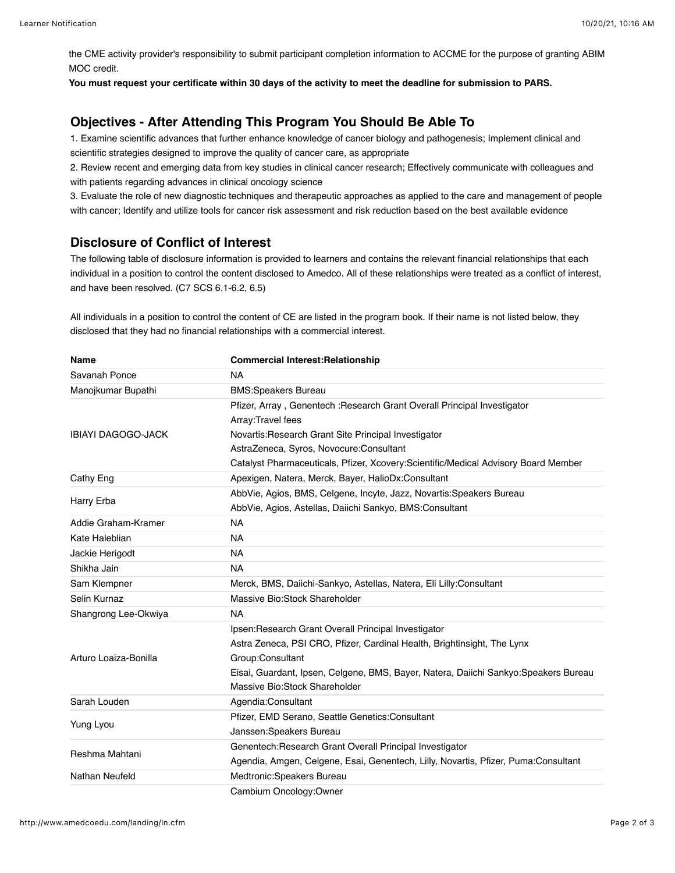the CME activity provider's responsibility to submit participant completion information to ACCME for the purpose of granting ABIM MOC credit.

**You must request your certificate within 30 days of the activity to meet the deadline for submission to PARS.**

## **Objectives - After Attending This Program You Should Be Able To**

1. Examine scientific advances that further enhance knowledge of cancer biology and pathogenesis; Implement clinical and scientific strategies designed to improve the quality of cancer care, as appropriate

2. Review recent and emerging data from key studies in clinical cancer research; Effectively communicate with colleagues and with patients regarding advances in clinical oncology science

3. Evaluate the role of new diagnostic techniques and therapeutic approaches as applied to the care and management of people with cancer; Identify and utilize tools for cancer risk assessment and risk reduction based on the best available evidence

#### **Disclosure of Conflict of Interest**

The following table of disclosure information is provided to learners and contains the relevant financial relationships that each individual in a position to control the content disclosed to Amedco. All of these relationships were treated as a conflict of interest, and have been resolved. (C7 SCS 6.1-6.2, 6.5)

All individuals in a position to control the content of CE are listed in the program book. If their name is not listed below, they disclosed that they had no financial relationships with a commercial interest.

| Name                      | <b>Commercial Interest: Relationship</b>                                             |
|---------------------------|--------------------------------------------------------------------------------------|
| Savanah Ponce             | <b>NA</b>                                                                            |
| Manojkumar Bupathi        | <b>BMS:Speakers Bureau</b>                                                           |
| <b>IBIAYI DAGOGO-JACK</b> | Pfizer, Array, Genentech : Research Grant Overall Principal Investigator             |
|                           | Array: Travel fees                                                                   |
|                           | Novartis: Research Grant Site Principal Investigator                                 |
|                           | AstraZeneca, Syros, Novocure:Consultant                                              |
|                           | Catalyst Pharmaceuticals, Pfizer, Xcovery:Scientific/Medical Advisory Board Member   |
| Cathy Eng                 | Apexigen, Natera, Merck, Bayer, HalioDx:Consultant                                   |
| Harry Erba                | AbbVie, Agios, BMS, Celgene, Incyte, Jazz, Novartis: Speakers Bureau                 |
|                           | AbbVie, Agios, Astellas, Daiichi Sankyo, BMS:Consultant                              |
| Addie Graham-Kramer       | <b>NA</b>                                                                            |
| Kate Haleblian            | <b>NA</b>                                                                            |
| Jackie Herigodt           | <b>NA</b>                                                                            |
| Shikha Jain               | <b>NA</b>                                                                            |
| Sam Klempner              | Merck, BMS, Daiichi-Sankyo, Astellas, Natera, Eli Lilly:Consultant                   |
| Selin Kurnaz              | Massive Bio:Stock Shareholder                                                        |
| Shangrong Lee-Okwiya      | <b>NA</b>                                                                            |
| Arturo Loaiza-Bonilla     | Ipsen: Research Grant Overall Principal Investigator                                 |
|                           | Astra Zeneca, PSI CRO, Pfizer, Cardinal Health, Brightinsight, The Lynx              |
|                           | Group:Consultant                                                                     |
|                           | Eisai, Guardant, Ipsen, Celgene, BMS, Bayer, Natera, Daiichi Sankyo: Speakers Bureau |
|                           | Massive Bio:Stock Shareholder                                                        |
| Sarah Louden              | Agendia:Consultant                                                                   |
| Yung Lyou                 | Pfizer, EMD Serano, Seattle Genetics: Consultant                                     |
|                           | Janssen: Speakers Bureau                                                             |
| Reshma Mahtani            | Genentech: Research Grant Overall Principal Investigator                             |
|                           | Agendia, Amgen, Celgene, Esai, Genentech, Lilly, Novartis, Pfizer, Puma:Consultant   |
| Nathan Neufeld            | Medtronic:Speakers Bureau                                                            |
|                           | Cambium Oncology:Owner                                                               |